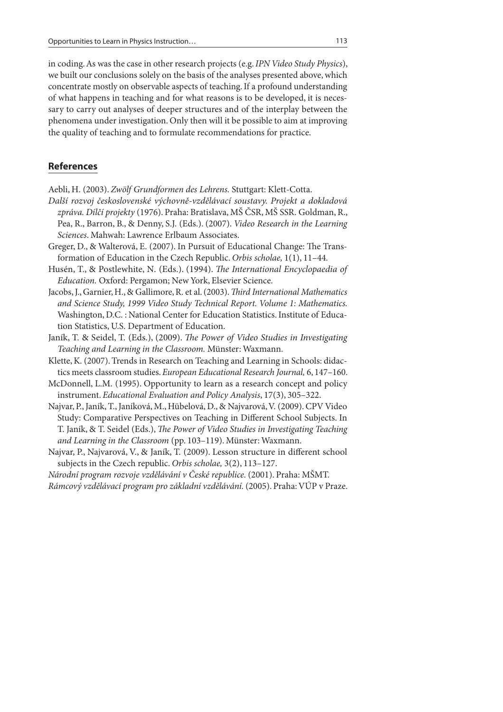in coding. As was the case in other research projects (e.g. IPN Video Study Physics), we built our conclusions solely on the basis of the analyses presented above, which concentrate mostly on observable aspects of teaching. If a profound understanding of what happens in teaching and for what reasons is to be developed, it is necessary to carry out analyses of deeper structures and of the interplay between the phenomena under investigation. Only then will it be possible to aim at improving the quality of teaching and to formulate recommendations for practice.

## **References**

Aebli, H. (2003). Zwölf Grundformen des Lehrens. Stuttgart: Klett-Cotta.

- Další rozvoj československé výchovně-vzdělá vací soustavy. Projekt a dokladová zpráva. Dílčí projekty (1976). Praha: Bratislava, MŠ ČSR, MŠ SSR. Goldman, R., Pea, R., Barron, B., & Denny, S.J. (Eds.). (2007). Video Research in the Learning Sciences. Mahwah: Lawrence Erlbaum Associates.
- Greger, D., & Walterová, E. (2007). In Pursuit of Educational Change: The Transformation of Education in the Czech Republic. Orbis scholae, 1(1), 11–44.
- Husén, T., & Postlewhite, N. (Eds.). (1994). The International Encyclopaedia of Education. Oxford: Pergamon; New York, Elsevier Science.
- Jacobs, J., Garnier, H., & Gallimore, R. et al. (2003). Third International Mathematics and Science Study, 1999 Video Study Technical Report. Volume 1: Mathematics. Washington, D.C. : National Center for Education Statistics. Institute of Education Statistics, U.S. Department of Education.
- Janík, T. & Seidel, T. (Eds.), (2009). The Power of Video Studies in Investigating Teaching and Learning in the Classroom. Münster: Waxmann.
- Klette, K. (2007). Trends in Research on Teaching and Learning in Schools: didactics meets classroom studies. European Educational Research Journal, 6, 147–160.
- McDonnell, L.M. (1995). Opportunity to learn as a research concept and policy instrument. Educational Evaluation and Policy Analysis, 17(3), 305–322.
- Najvar, P., Janík, T., Janíková, M., Hübelová, D., & Najvarová, V. (2009). CPV Video Study: Comparative Perspectives on Teaching in Different School Subjects. In T. Janík, & T. Seidel (Eds.), The Power of Video Studies in Investigating Teaching and Learning in the Classroom (pp. 103–119). Münster: Waxmann.
- Najvar, P., Najvarová, V., & Janík, T. (2009). Lesson structure in different school subjects in the Czech republic. Orbis scholae, 3(2), 113–127.

Národní program rozvoje vzdělávání v České republice. (2001). Praha: MŠMT. Rámcový vzdělávací program pro základní vzdělávání. (2005). Praha: VÚP v Praze.